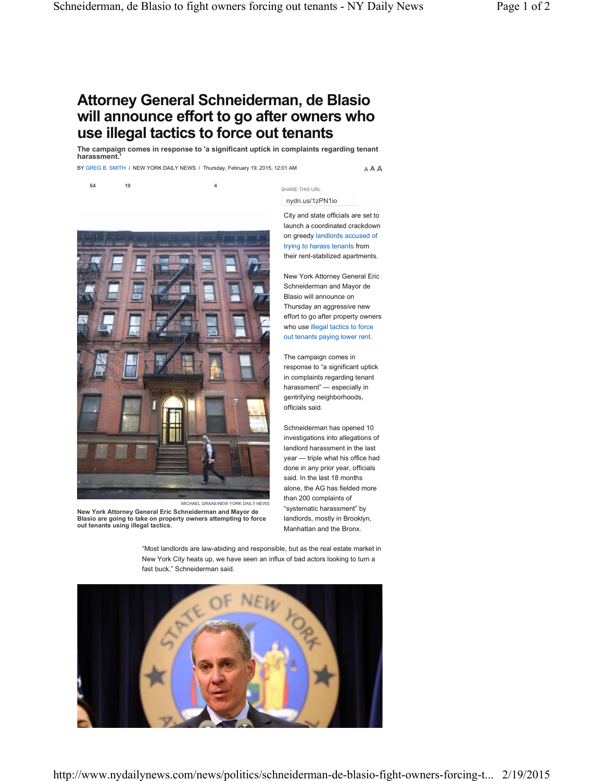## **Attorney General Schneiderman, de Blasio will announce effort to go after owners who use illegal tactics to force out tenants**

**The campaign comes in response to 'a significant uptick in complaints regarding tenant harassment.'**

BY GREG B. SMITH / NEW YORK DAILY NEWS / Thursday, February 19, 2015, 12:01 AM

**64 19 4**

**A A A**

nydn.us/1zPN1io

SHARE THIS URL

City and state officials are set to launch a coordinated crackdown on greedy landlords accused of trying to harass tenants from their rent-stabilized apartments.

New York Attorney General Eric Schneiderman and Mayor de Blasio will announce on Thursday an aggressive new effort to go after property owners who use illegal tactics to force out tenants paying lower rent.

The campaign comes in response to "a significant uptick in complaints regarding tenant harassment" — especially in gentrifying neighborhoods, officials said.

Schneiderman has opened 10 investigations into allegations of landlord harassment in the last year — triple what his office had done in any prior year, officials said. In the last 18 months alone, the AG has fielded more than 200 complaints of "systematic harassment" by landlords, mostly in Brooklyn, Manhattan and the Bronx.

"Most landlords are law-abiding and responsible, but as the real estate market in New York City heats up, we have seen an influx of bad actors looking to turn a fast buck," Schneiderman said.





**New York Attorney General Eric Schneiderman and Mayor de Blasio are going to take on property owners attempting to force out tenants using illegal tactics.**